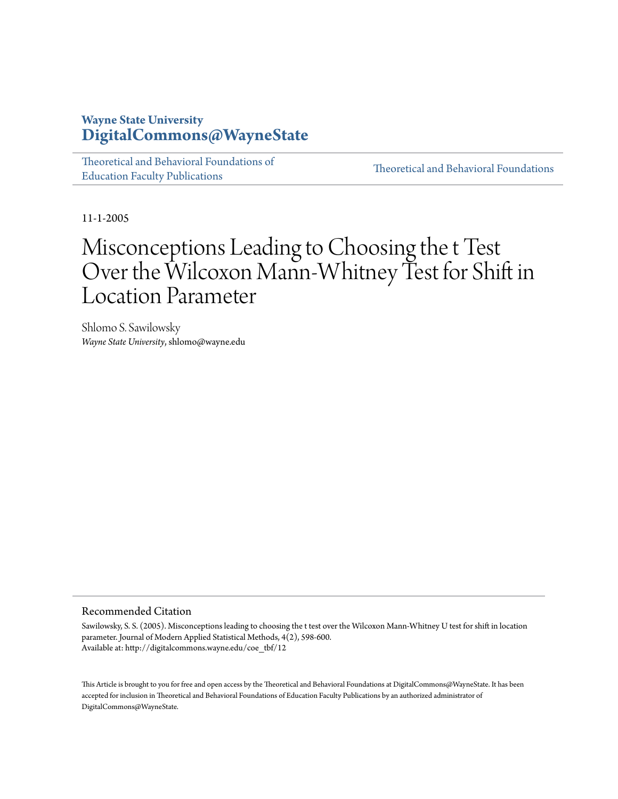## **Wayne State University [DigitalCommons@WayneState](http://digitalcommons.wayne.edu)**

[Theoretical and Behavioral Foundations of](http://digitalcommons.wayne.edu/coe_tbf) [Education Faculty Publications](http://digitalcommons.wayne.edu/coe_tbf)

[Theoretical and Behavioral Foundations](http://digitalcommons.wayne.edu/tbf)

11-1-2005

# Misconceptions Leading to Choosing the t Test Over the Wilcoxon Mann-Whitney Test for Shift in Location Parameter

Shlomo S. Sawilowsky *Wayne State University*, shlomo@wayne.edu

#### Recommended Citation

Sawilowsky, S. S. (2005). Misconceptions leading to choosing the t test over the Wilcoxon Mann-Whitney U test for shift in location parameter. Journal of Modern Applied Statistical Methods, 4(2), 598-600. Available at: http://digitalcommons.wayne.edu/coe\_tbf/12

This Article is brought to you for free and open access by the Theoretical and Behavioral Foundations at DigitalCommons@WayneState. It has been accepted for inclusion in Theoretical and Behavioral Foundations of Education Faculty Publications by an authorized administrator of DigitalCommons@WayneState.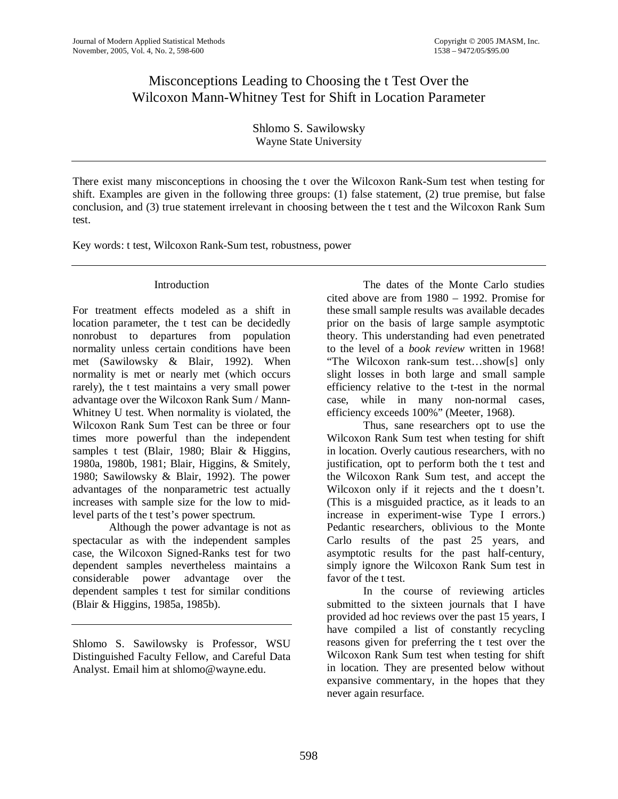## Misconceptions Leading to Choosing the t Test Over the Wilcoxon Mann-Whitney Test for Shift in Location Parameter

Shlomo S. Sawilowsky Wayne State University

There exist many misconceptions in choosing the t over the Wilcoxon Rank-Sum test when testing for shift. Examples are given in the following three groups: (1) false statement, (2) true premise, but false conclusion, and (3) true statement irrelevant in choosing between the t test and the Wilcoxon Rank Sum test.

Key words: t test, Wilcoxon Rank-Sum test, robustness, power

### Introduction

For treatment effects modeled as a shift in location parameter, the t test can be decidedly nonrobust to departures from population normality unless certain conditions have been met (Sawilowsky & Blair, 1992). When normality is met or nearly met (which occurs rarely), the t test maintains a very small power advantage over the Wilcoxon Rank Sum / Mann-Whitney U test. When normality is violated, the Wilcoxon Rank Sum Test can be three or four times more powerful than the independent samples t test (Blair, 1980; Blair & Higgins, 1980a, 1980b, 1981; Blair, Higgins, & Smitely, 1980; Sawilowsky & Blair, 1992). The power advantages of the nonparametric test actually increases with sample size for the low to midlevel parts of the t test's power spectrum.

Although the power advantage is not as spectacular as with the independent samples case, the Wilcoxon Signed-Ranks test for two dependent samples nevertheless maintains a considerable power advantage over the dependent samples t test for similar conditions (Blair & Higgins, 1985a, 1985b).

Shlomo S. Sawilowsky is Professor, WSU Distinguished Faculty Fellow, and Careful Data Analyst. Email him at shlomo@wayne.edu.

 The dates of the Monte Carlo studies cited above are from 1980 – 1992. Promise for these small sample results was available decades prior on the basis of large sample asymptotic theory. This understanding had even penetrated to the level of a *book review* written in 1968! "The Wilcoxon rank-sum test…show[s] only slight losses in both large and small sample efficiency relative to the t-test in the normal case, while in many non-normal cases, efficiency exceeds 100%" (Meeter, 1968).

 Thus, sane researchers opt to use the Wilcoxon Rank Sum test when testing for shift in location. Overly cautious researchers, with no justification, opt to perform both the t test and the Wilcoxon Rank Sum test, and accept the Wilcoxon only if it rejects and the t doesn't. (This is a misguided practice, as it leads to an increase in experiment-wise Type I errors.) Pedantic researchers, oblivious to the Monte Carlo results of the past 25 years, and asymptotic results for the past half-century, simply ignore the Wilcoxon Rank Sum test in favor of the t test.

In the course of reviewing articles submitted to the sixteen journals that I have provided ad hoc reviews over the past 15 years, I have compiled a list of constantly recycling reasons given for preferring the t test over the Wilcoxon Rank Sum test when testing for shift in location. They are presented below without expansive commentary, in the hopes that they never again resurface.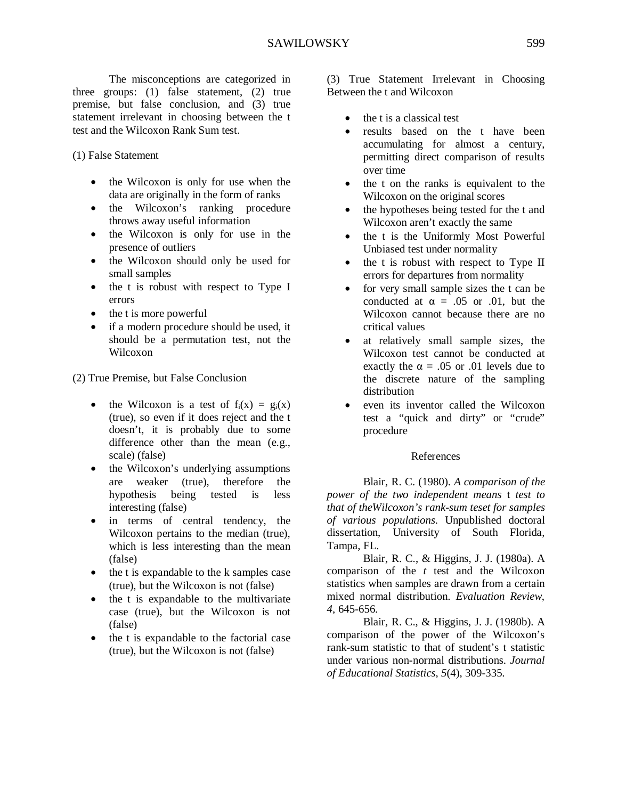The misconceptions are categorized in three groups: (1) false statement, (2) true premise, but false conclusion, and (3) true statement irrelevant in choosing between the t test and the Wilcoxon Rank Sum test.

(1) False Statement

- the Wilcoxon is only for use when the data are originally in the form of ranks
- the Wilcoxon's ranking procedure throws away useful information
- the Wilcoxon is only for use in the presence of outliers
- the Wilcoxon should only be used for small samples
- the t is robust with respect to Type I errors
- the t is more powerful
- if a modern procedure should be used, it should be a permutation test, not the Wilcoxon

(2) True Premise, but False Conclusion

- the Wilcoxon is a test of  $f_i(x) = g_i(x)$ (true), so even if it does reject and the t doesn't, it is probably due to some difference other than the mean (e.g., scale) (false)
- the Wilcoxon's underlying assumptions are weaker (true), therefore the hypothesis being tested is less interesting (false)
- in terms of central tendency, the Wilcoxon pertains to the median (true), which is less interesting than the mean (false)
- the t is expandable to the k samples case (true), but the Wilcoxon is not (false)
- the t is expandable to the multivariate case (true), but the Wilcoxon is not (false)
- the t is expandable to the factorial case (true), but the Wilcoxon is not (false)

(3) True Statement Irrelevant in Choosing Between the t and Wilcoxon

- the t is a classical test
- results based on the t have been accumulating for almost a century, permitting direct comparison of results over time
- the t on the ranks is equivalent to the Wilcoxon on the original scores
- the hypotheses being tested for the t and Wilcoxon aren't exactly the same
- the t is the Uniformly Most Powerful Unbiased test under normality
- the t is robust with respect to Type II errors for departures from normality
- for very small sample sizes the t can be conducted at  $\alpha = .05$  or .01, but the Wilcoxon cannot because there are no critical values
- at relatively small sample sizes, the Wilcoxon test cannot be conducted at exactly the  $\alpha = .05$  or .01 levels due to the discrete nature of the sampling distribution
- even its inventor called the Wilcoxon test a "quick and dirty" or "crude" procedure

#### References

 Blair, R. C. (1980). *A comparison of the power of the two independent means* t *test to that of theWilcoxon's rank-sum teset for samples of various populations*. Unpublished doctoral dissertation, University of South Florida, Tampa, FL.

 Blair, R. C., & Higgins, J. J. (1980a). A comparison of the *t* test and the Wilcoxon statistics when samples are drawn from a certain mixed normal distribution. *Evaluation Review*, *4*, 645-656.

 Blair, R. C., & Higgins, J. J. (1980b). A comparison of the power of the Wilcoxon's rank-sum statistic to that of student's t statistic under various non-normal distributions. *Journal of Educational Statistics*, *5*(4), 309-335.